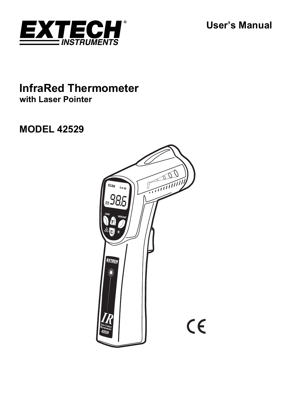**User's Manual** 



## **InfraRed Thermometer with Laser Pointer**

# **MODEL 42529**

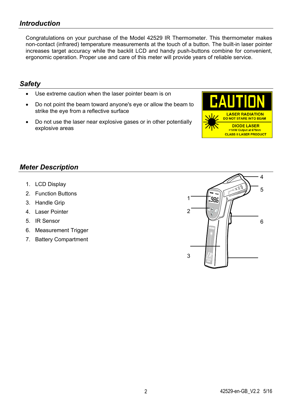### *Introduction*

Congratulations on your purchase of the Model 42529 IR Thermometer. This thermometer makes non-contact (infrared) temperature measurements at the touch of a button. The built-in laser pointer increases target accuracy while the backlit LCD and handy push-buttons combine for convenient, ergonomic operation. Proper use and care of this meter will provide years of reliable service.

#### *Safety*

- Use extreme caution when the laser pointer beam is on
- Do not point the beam toward anyone's eye or allow the beam to strike the eye from a reflective surface
- Do not use the laser near explosive gases or in other potentially explosive areas



#### *Meter Description*

- 1. LCD Display
- 2. Function Buttons
- 3. Handle Grip
- 4. Laser Pointer
- 5. IR Sensor
- 6. Measurement Trigger
- 7. Battery Compartment

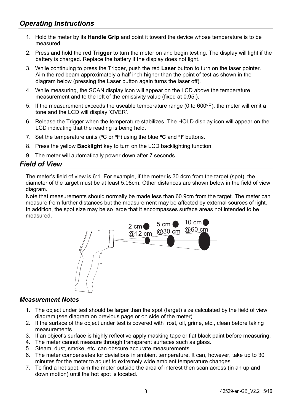- 1. Hold the meter by its **Handle Grip** and point it toward the device whose temperature is to be measured.
- 2. Press and hold the red **Trigger** to turn the meter on and begin testing. The display will light if the battery is charged. Replace the battery if the display does not light.
- 3. While continuing to press the Trigger, push the red **Laser** button to turn on the laser pointer. Aim the red beam approximately a half inch higher than the point of test as shown in the diagram below (pressing the Laser button again turns the laser off).
- 4. While measuring, the SCAN display icon will appear on the LCD above the temperature measurement and to the left of the emissivity value (fixed at 0.95.).
- 5. If the measurement exceeds the useable temperature range (0 to  $600^\circ F$ ), the meter will emit a tone and the LCD will display 'OVER'.
- 6. Release the Trigger when the temperature stabilizes. The HOLD display icon will appear on the LCD indicating that the reading is being held.
- 7. Set the temperature units (°C or °F) using the blue **°C** and **°F** buttons.
- 8. Press the yellow **Backlight** key to turn on the LCD backlighting function.
- 9. The meter will automatically power down after 7 seconds.

#### *Field of View*

The meter's field of view is 6:1. For example, if the meter is 30.4cm from the target (spot), the diameter of the target must be at least 5.08cm. Other distances are shown below in the field of view diagram.

Note that measurements should normally be made less than 60.9cm from the target. The meter can measure from further distances but the measurement may be affected by external sources of light. In addition, the spot size may be so large that it encompasses surface areas not intended to be measured.



#### *Measurement Notes*

- 1. The object under test should be larger than the spot (target) size calculated by the field of view diagram (see diagram on previous page or on side of the meter).
- 2. If the surface of the object under test is covered with frost, oil, grime, etc., clean before taking measurements.
- 3. If an object's surface is highly reflective apply masking tape or flat black paint before measuring.
- 4. The meter cannot measure through transparent surfaces such as glass.
- 5. Steam, dust, smoke, etc. can obscure accurate measurements.
- 6. The meter compensates for deviations in ambient temperature. It can, however, take up to 30 minutes for the meter to adjust to extremely wide ambient temperature changes.
- 7. To find a hot spot, aim the meter outside the area of interest then scan across (in an up and down motion) until the hot spot is located.